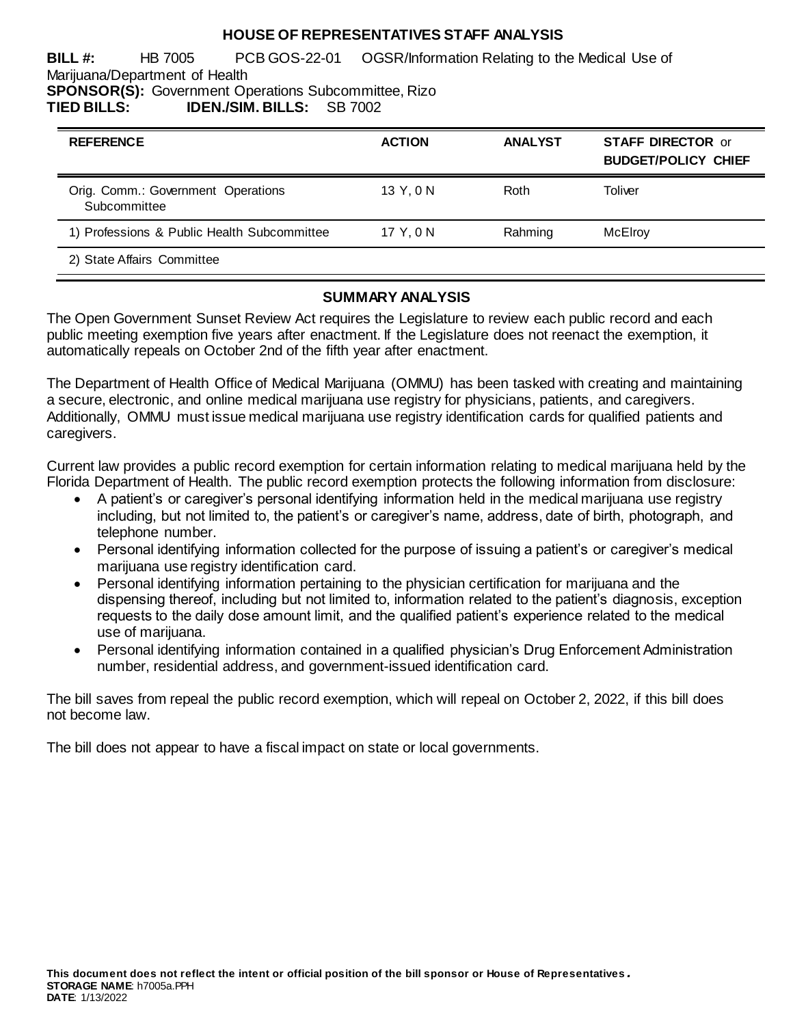### **HOUSE OF REPRESENTATIVES STAFF ANALYSIS**

**BILL #:** HB 7005 PCB GOS-22-01 OGSR/Information Relating to the Medical Use of Marijuana/Department of Health **SPONSOR(S):** Government Operations Subcommittee, Rizo

**TIED BILLS: IDEN./SIM. BILLS:** SB 7002

| <b>REFERENCE</b>                                   | <b>ACTION</b> | <b>ANALYST</b> | <b>STAFF DIRECTOR or</b><br><b>BUDGET/POLICY CHIEF</b> |
|----------------------------------------------------|---------------|----------------|--------------------------------------------------------|
| Orig. Comm.: Government Operations<br>Subcommittee | 13 Y.ON       | Roth           | Toliver                                                |
| 1) Professions & Public Health Subcommittee        | 17 Y.ON       | Rahming        | McElroy                                                |
| 2) State Affairs Committee                         |               |                |                                                        |

### **SUMMARY ANALYSIS**

The Open Government Sunset Review Act requires the Legislature to review each public record and each public meeting exemption five years after enactment. If the Legislature does not reenact the exemption, it automatically repeals on October 2nd of the fifth year after enactment.

The Department of Health Office of Medical Marijuana (OMMU) has been tasked with creating and maintaining a secure, electronic, and online medical marijuana use registry for physicians, patients, and caregivers. Additionally, OMMU must issue medical marijuana use registry identification cards for qualified patients and caregivers.

Current law provides a public record exemption for certain information relating to medical marijuana held by the Florida Department of Health. The public record exemption protects the following information from disclosure:

- A patient's or caregiver's personal identifying information held in the medical marijuana use registry including, but not limited to, the patient's or caregiver's name, address, date of birth, photograph, and telephone number.
- Personal identifying information collected for the purpose of issuing a patient's or caregiver's medical marijuana use registry identification card.
- Personal identifying information pertaining to the physician certification for marijuana and the dispensing thereof, including but not limited to, information related to the patient's diagnosis, exception requests to the daily dose amount limit, and the qualified patient's experience related to the medical use of marijuana.
- Personal identifying information contained in a qualified physician's Drug Enforcement Administration number, residential address, and government-issued identification card.

The bill saves from repeal the public record exemption, which will repeal on October 2, 2022, if this bill does not become law.

The bill does not appear to have a fiscal impact on state or local governments.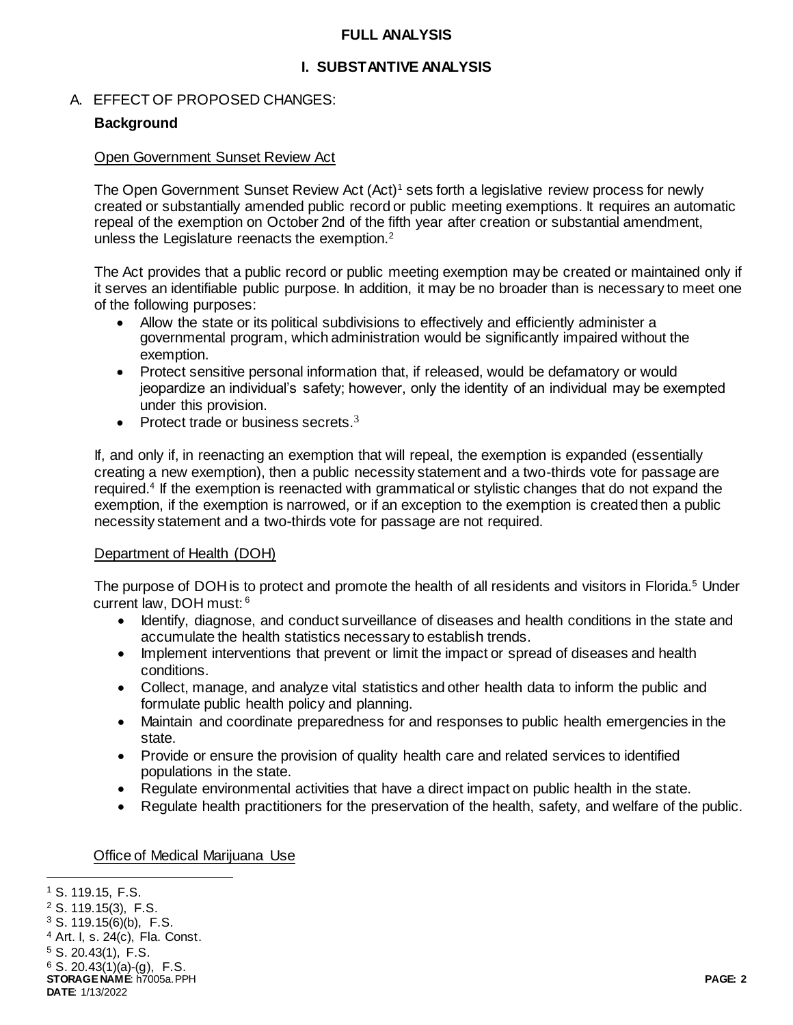### **FULL ANALYSIS**

## **I. SUBSTANTIVE ANALYSIS**

## A. EFFECT OF PROPOSED CHANGES:

## **Background**

#### Open Government Sunset Review Act

The Open Government Sunset Review Act (Act)<sup>1</sup> sets forth a legislative review process for newly created or substantially amended public record or public meeting exemptions. It requires an automatic repeal of the exemption on October 2nd of the fifth year after creation or substantial amendment, unless the Legislature reenacts the exemption.<sup>2</sup>

The Act provides that a public record or public meeting exemption may be created or maintained only if it serves an identifiable public purpose. In addition, it may be no broader than is necessary to meet one of the following purposes:

- Allow the state or its political subdivisions to effectively and efficiently administer a governmental program, which administration would be significantly impaired without the exemption.
- Protect sensitive personal information that, if released, would be defamatory or would jeopardize an individual's safety; however, only the identity of an individual may be exempted under this provision.
- Protect trade or business secrets. $3$

If, and only if, in reenacting an exemption that will repeal, the exemption is expanded (essentially creating a new exemption), then a public necessity statement and a two-thirds vote for passage are required.<sup>4</sup> If the exemption is reenacted with grammatical or stylistic changes that do not expand the exemption, if the exemption is narrowed, or if an exception to the exemption is created then a public necessity statement and a two-thirds vote for passage are not required.

#### Department of Health (DOH)

The purpose of DOH is to protect and promote the health of all residents and visitors in Florida.<sup>5</sup> Under current law, DOH must: <sup>6</sup>

- Identify, diagnose, and conduct surveillance of diseases and health conditions in the state and accumulate the health statistics necessary to establish trends.
- Implement interventions that prevent or limit the impact or spread of diseases and health conditions.
- Collect, manage, and analyze vital statistics and other health data to inform the public and formulate public health policy and planning.
- Maintain and coordinate preparedness for and responses to public health emergencies in the state.
- Provide or ensure the provision of quality health care and related services to identified populations in the state.
- Regulate environmental activities that have a direct impact on public health in the state.
- Regulate health practitioners for the preservation of the health, safety, and welfare of the public.

#### Office of Medical Marijuana Use

j <sup>1</sup> S. 119.15, F.S.

<sup>2</sup> S. 119.15(3), F.S.

 $3$  S. 119.15(6)(b), F.S.

<sup>4</sup> Art. I, s. 24(c), Fla. Const.

<sup>5</sup> S. 20.43(1), F.S.

 $6$  S. 20.43(1)(a)-(g), F.S.

**STORAGE NAME**: h7005a.PPH **PAGE: 2 DATE**: 1/13/2022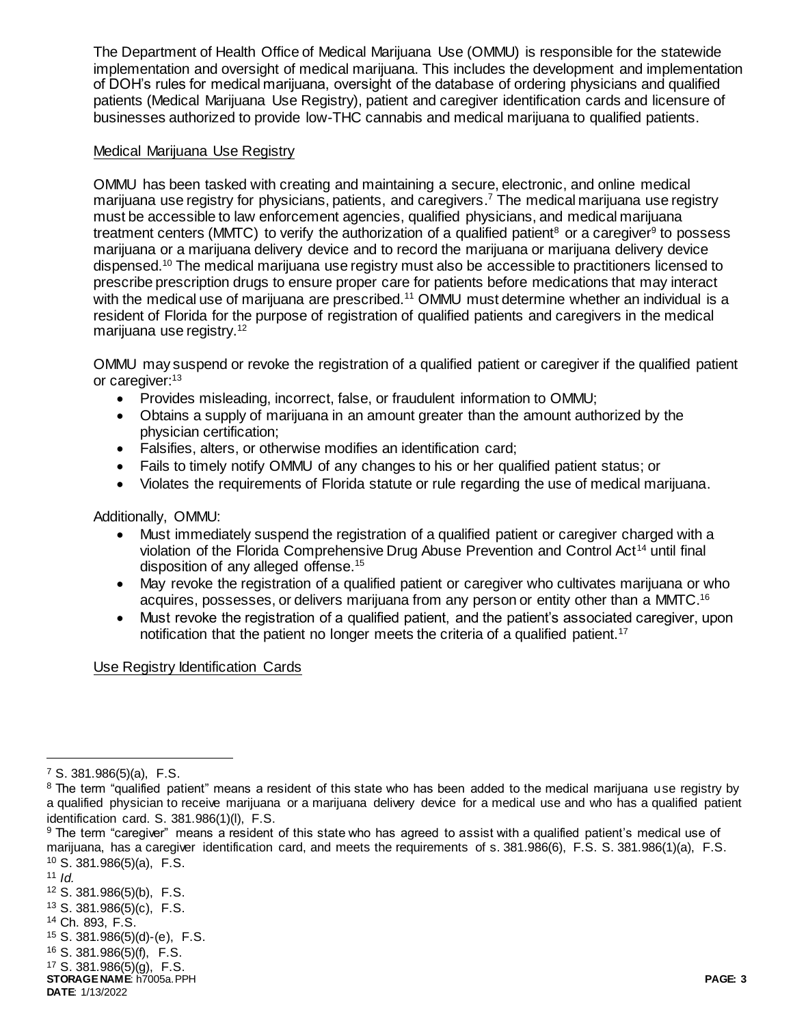The Department of Health Office of Medical Marijuana Use (OMMU) is responsible for the statewide implementation and oversight of medical marijuana. This includes the development and implementation of DOH's rules for medical marijuana, oversight of the database of ordering physicians and qualified patients (Medical Marijuana Use Registry), patient and caregiver identification cards and licensure of businesses authorized to provide low-THC cannabis and medical marijuana to qualified patients.

### Medical Marijuana Use Registry

OMMU has been tasked with creating and maintaining a secure, electronic, and online medical marijuana use registry for physicians, patients, and caregivers. <sup>7</sup> The medical marijuana use registry must be accessible to law enforcement agencies, qualified physicians, and medical marijuana treatment centers (MMTC) to verify the authorization of a qualified patient<sup>8</sup> or a caregiver<sup>9</sup> to possess marijuana or a marijuana delivery device and to record the marijuana or marijuana delivery device dispensed.<sup>10</sup> The medical marijuana use registry must also be accessible to practitioners licensed to prescribe prescription drugs to ensure proper care for patients before medications that may interact with the medical use of marijuana are prescribed.<sup>11</sup> OMMU must determine whether an individual is a resident of Florida for the purpose of registration of qualified patients and caregivers in the medical marijuana use registry.<sup>12</sup>

OMMU may suspend or revoke the registration of a qualified patient or caregiver if the qualified patient or caregiver:<sup>13</sup>

- Provides misleading, incorrect, false, or fraudulent information to OMMU;
- Obtains a supply of marijuana in an amount greater than the amount authorized by the physician certification;
- Falsifies, alters, or otherwise modifies an identification card;
- Fails to timely notify OMMU of any changes to his or her qualified patient status; or
- Violates the requirements of Florida statute or rule regarding the use of medical marijuana.

Additionally, OMMU:

- Must immediately suspend the registration of a qualified patient or caregiver charged with a violation of the Florida Comprehensive Drug Abuse Prevention and Control Act<sup>14</sup> until final disposition of any alleged offense.<sup>15</sup>
- May revoke the registration of a qualified patient or caregiver who cultivates marijuana or who acquires, possesses, or delivers marijuana from any person or entity other than a MMTC.<sup>16</sup>
- Must revoke the registration of a qualified patient, and the patient's associated caregiver, upon notification that the patient no longer meets the criteria of a qualified patient.<sup>17</sup>

Use Registry Identification Cards

 $\overline{a}$ 

 $7$  S. 381.986(5)(a), F.S.

<sup>&</sup>lt;sup>8</sup> The term "qualified patient" means a resident of this state who has been added to the medical marijuana use registry by a qualified physician to receive marijuana or a marijuana delivery device for a medical use and who has a qualified patient identification card. S. 381.986(1)(l), F.S.

<sup>&</sup>lt;sup>9</sup> The term "caregiver" means a resident of this state who has agreed to assist with a qualified patient's medical use of marijuana, has a caregiver identification card, and meets the requirements of s. 381.986(6), F.S. S. 381.986(1)(a), F.S. <sup>10</sup> S. 381.986(5)(a), F.S.

 $11$  *Id.* 

<sup>12</sup> S. 381.986(5)(b), F.S.

<sup>13</sup> S. 381.986(5)(c), F.S.

<sup>14</sup> Ch. 893, F.S.

<sup>15</sup> S. 381.986(5)(d)-(e), F.S.

<sup>16</sup> S. 381.986(5)(f), F.S.

<sup>17</sup> S. 381.986(5)(g), F.S.

**STORAGE NAME**: h7005a.PPH **PAGE: 3 DATE**: 1/13/2022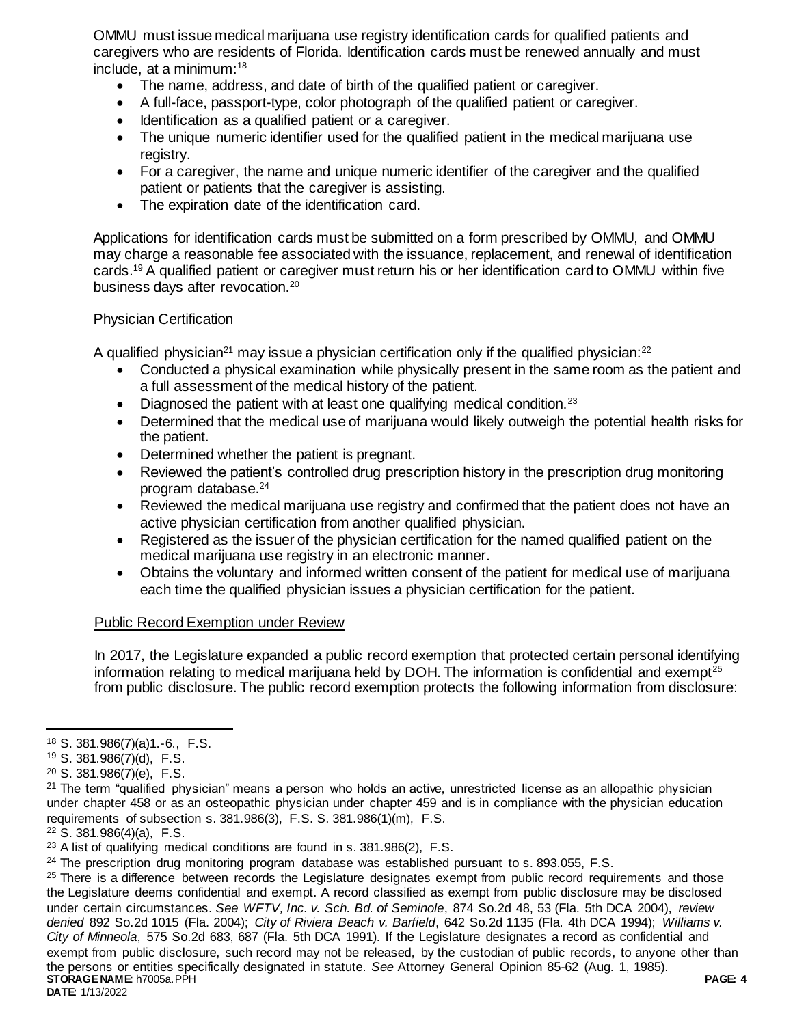OMMU must issue medical marijuana use registry identification cards for qualified patients and caregivers who are residents of Florida. Identification cards must be renewed annually and must include, at a minimum:<sup>18</sup>

- The name, address, and date of birth of the qualified patient or caregiver.
- A full-face, passport-type, color photograph of the qualified patient or caregiver.
- Identification as a qualified patient or a caregiver.
- The unique numeric identifier used for the qualified patient in the medical marijuana use registry.
- For a caregiver, the name and unique numeric identifier of the caregiver and the qualified patient or patients that the caregiver is assisting.
- The expiration date of the identification card.

Applications for identification cards must be submitted on a form prescribed by OMMU, and OMMU may charge a reasonable fee associated with the issuance, replacement, and renewal of identification cards.<sup>19</sup> A qualified patient or caregiver must return his or her identification card to OMMU within five business days after revocation.<sup>20</sup>

### Physician Certification

A qualified physician<sup>21</sup> may issue a physician certification only if the qualified physician: $22$ 

- Conducted a physical examination while physically present in the same room as the patient and a full assessment of the medical history of the patient.
- $\bullet$  Diagnosed the patient with at least one qualifying medical condition.<sup>23</sup>
- Determined that the medical use of marijuana would likely outweigh the potential health risks for the patient.
- Determined whether the patient is pregnant.
- Reviewed the patient's controlled drug prescription history in the prescription drug monitoring program database.<sup>24</sup>
- Reviewed the medical marijuana use registry and confirmed that the patient does not have an active physician certification from another qualified physician.
- Registered as the issuer of the physician certification for the named qualified patient on the medical marijuana use registry in an electronic manner.
- Obtains the voluntary and informed written consent of the patient for medical use of marijuana each time the qualified physician issues a physician certification for the patient.

## Public Record Exemption under Review

In 2017, the Legislature expanded a public record exemption that protected certain personal identifying information relating to medical marijuana held by DOH. The information is confidential and exempt<sup>25</sup> from public disclosure. The public record exemption protects the following information from disclosure:

 $\overline{a}$ 

**STORAGE NAME**: h7005a.PPH **PAGE: 4 DATE**: 1/13/2022 <sup>25</sup> There is a difference between records the Legislature designates exempt from public record requirements and those the Legislature deems confidential and exempt. A record classified as exempt from public disclosure may be disclosed under certain circumstances. *See WFTV, Inc. v. Sch. Bd. of Seminole*, 874 So.2d 48, 53 (Fla. 5th DCA 2004), *review denied* 892 So.2d 1015 (Fla. 2004); *City of Riviera Beach v. Barfield*, 642 So.2d 1135 (Fla. 4th DCA 1994); *Williams v. City of Minneola*, 575 So.2d 683, 687 (Fla. 5th DCA 1991). If the Legislature designates a record as confidential and exempt from public disclosure, such record may not be released, by the custodian of public records, to anyone other than the persons or entities specifically designated in statute. *See* Attorney General Opinion 85-62 (Aug. 1, 1985).

<sup>18</sup> S. 381.986(7)(a)1.-6., F.S.

<sup>19</sup> S. 381.986(7)(d), F.S.

 $20$  S. 381.986(7)(e), F.S.

 $21$  The term "qualified physician" means a person who holds an active, unrestricted license as an allopathic physician under chapter 458 or as an osteopathic physician under chapter 459 and is in compliance with the physician education requirements of subsection s. 381.986(3), F.S. S. 381.986(1)(m), F.S.

<sup>22</sup> S. 381.986(4)(a), F.S.

<sup>23</sup> A list of qualifying medical conditions are found in s. 381.986(2), F.S.

<sup>&</sup>lt;sup>24</sup> The prescription drug monitoring program database was established pursuant to s. 893.055, F.S.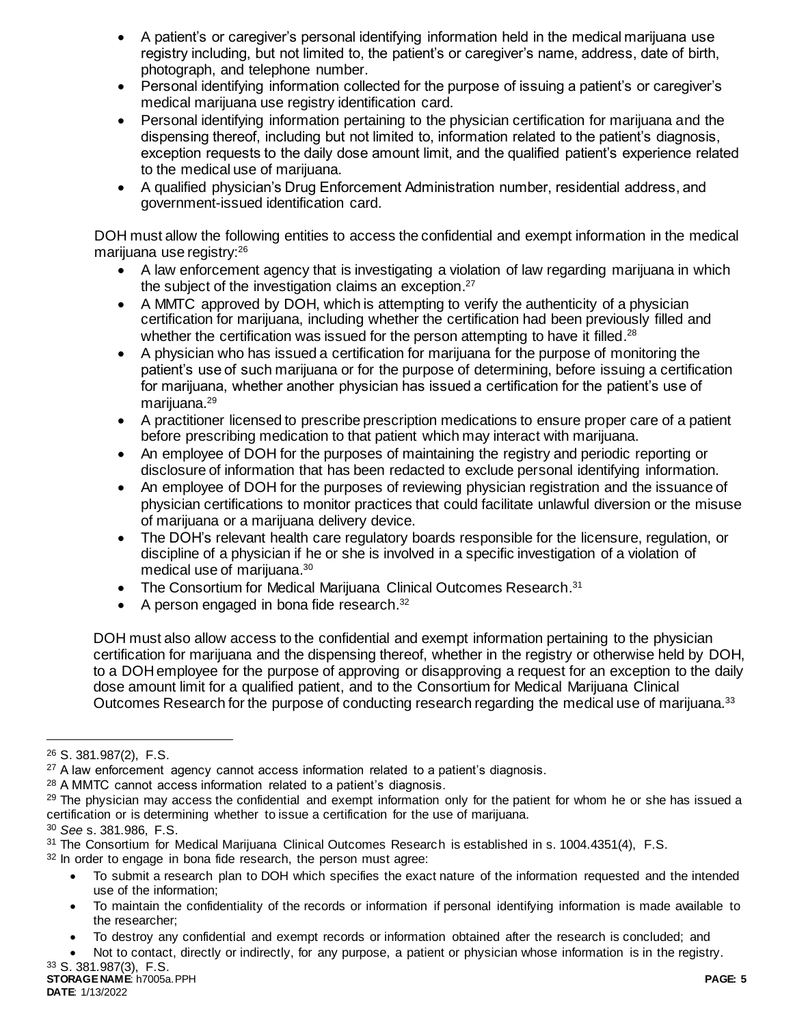- A patient's or caregiver's personal identifying information held in the medical marijuana use registry including, but not limited to, the patient's or caregiver's name, address, date of birth, photograph, and telephone number.
- Personal identifying information collected for the purpose of issuing a patient's or caregiver's medical marijuana use registry identification card.
- Personal identifying information pertaining to the physician certification for marijuana and the dispensing thereof, including but not limited to, information related to the patient's diagnosis, exception requests to the daily dose amount limit, and the qualified patient's experience related to the medical use of marijuana.
- A qualified physician's Drug Enforcement Administration number, residential address, and government-issued identification card.

DOH must allow the following entities to access the confidential and exempt information in the medical marijuana use registry:<sup>26</sup>

- A law enforcement agency that is investigating a violation of law regarding marijuana in which the subject of the investigation claims an exception.<sup>27</sup>
- A MMTC approved by DOH, which is attempting to verify the authenticity of a physician certification for marijuana, including whether the certification had been previously filled and whether the certification was issued for the person attempting to have it filled.<sup>28</sup>
- A physician who has issued a certification for marijuana for the purpose of monitoring the patient's use of such marijuana or for the purpose of determining, before issuing a certification for marijuana, whether another physician has issued a certification for the patient's use of marijuana.<sup>29</sup>
- A practitioner licensed to prescribe prescription medications to ensure proper care of a patient before prescribing medication to that patient which may interact with marijuana.
- An employee of DOH for the purposes of maintaining the registry and periodic reporting or disclosure of information that has been redacted to exclude personal identifying information.
- An employee of DOH for the purposes of reviewing physician registration and the issuance of physician certifications to monitor practices that could facilitate unlawful diversion or the misuse of marijuana or a marijuana delivery device.
- The DOH's relevant health care regulatory boards responsible for the licensure, regulation, or discipline of a physician if he or she is involved in a specific investigation of a violation of medical use of marijuana. 30
- The Consortium for Medical Marijuana Clinical Outcomes Research.<sup>31</sup>
- A person engaged in bona fide research. $32$

DOH must also allow access to the confidential and exempt information pertaining to the physician certification for marijuana and the dispensing thereof, whether in the registry or otherwise held by DOH, to a DOH employee for the purpose of approving or disapproving a request for an exception to the daily dose amount limit for a qualified patient, and to the Consortium for Medical Marijuana Clinical Outcomes Research for the purpose of conducting research regarding the medical use of marijuana.<sup>33</sup>

 $\overline{a}$ 

<sup>30</sup> *See* s. 381.986, F.S.

- To submit a research plan to DOH which specifies the exact nature of the information requested and the intended use of the information;
- To maintain the confidentiality of the records or information if personal identifying information is made available to the researcher;

<sup>26</sup> S. 381.987(2), F.S.

 $27$  A law enforcement agency cannot access information related to a patient's diagnosis.

<sup>28</sup> A MMTC cannot access information related to a patient's diagnosis.

 $29$  The physician may access the confidential and exempt information only for the patient for whom he or she has issued a certification or is determining whether to issue a certification for the use of marijuana.

<sup>31</sup> The Consortium for Medical Marijuana Clinical Outcomes Research is established in s. 1004.4351(4), F.S. <sup>32</sup> In order to engage in bona fide research, the person must agree:

To destroy any confidential and exempt records or information obtained after the research is concluded; and

Not to contact, directly or indirectly, for any purpose, a patient or physician whose information is in the registry.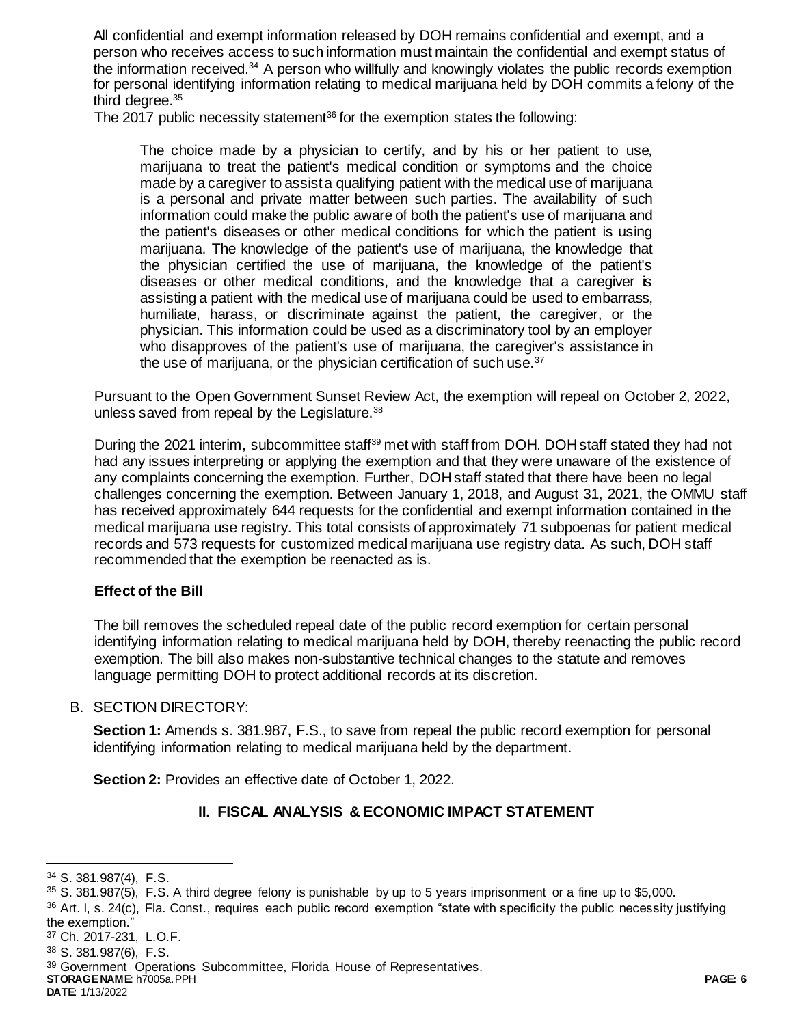All confidential and exempt information released by DOH remains confidential and exempt, and a person who receives access to such information must maintain the confidential and exempt status of the information received.<sup>34</sup> A person who willfully and knowingly violates the public records exemption for personal identifying information relating to medical marijuana held by DOH commits a felony of the third degree. 35

The 2017 public necessity statement<sup>36</sup> for the exemption states the following:

The choice made by a physician to certify, and by his or her patient to use, marijuana to treat the patient's medical condition or symptoms and the choice made by a caregiver to assist a qualifying patient with the medical use of marijuana is a personal and private matter between such parties. The availability of such information could make the public aware of both the patient's use of marijuana and the patient's diseases or other medical conditions for which the patient is using marijuana. The knowledge of the patient's use of marijuana, the knowledge that the physician certified the use of marijuana, the knowledge of the patient's diseases or other medical conditions, and the knowledge that a caregiver is assisting a patient with the medical use of marijuana could be used to embarrass, humiliate, harass, or discriminate against the patient, the caregiver, or the physician. This information could be used as a discriminatory tool by an employer who disapproves of the patient's use of marijuana, the caregiver's assistance in the use of marijuana, or the physician certification of such use.<sup>37</sup>

Pursuant to the Open Government Sunset Review Act, the exemption will repeal on October 2, 2022, unless saved from repeal by the Legislature.<sup>38</sup>

During the 2021 interim, subcommittee staff<sup>39</sup> met with staff from DOH. DOH staff stated they had not had any issues interpreting or applying the exemption and that they were unaware of the existence of any complaints concerning the exemption. Further, DOH staff stated that there have been no legal challenges concerning the exemption. Between January 1, 2018, and August 31, 2021, the OMMU staff has received approximately 644 requests for the confidential and exempt information contained in the medical marijuana use registry. This total consists of approximately 71 subpoenas for patient medical records and 573 requests for customized medical marijuana use registry data. As such, DOH staff recommended that the exemption be reenacted as is.

## **Effect of the Bill**

The bill removes the scheduled repeal date of the public record exemption for certain personal identifying information relating to medical marijuana held by DOH, thereby reenacting the public record exemption. The bill also makes non-substantive technical changes to the statute and removes language permitting DOH to protect additional records at its discretion.

## B. SECTION DIRECTORY:

**Section 1:** Amends s. 381.987, F.S., to save from repeal the public record exemption for personal identifying information relating to medical marijuana held by the department.

**Section 2:** Provides an effective date of October 1, 2022.

# **II. FISCAL ANALYSIS & ECONOMIC IMPACT STATEMENT**

 $36$  Art. I, s. 24(c), Fla. Const., requires each public record exemption "state with specificity the public necessity justifying the exemption."

**DATE**: 1/13/2022

l <sup>34</sup> S. 381.987(4), F.S.

<sup>35</sup> S. 381.987(5), F.S. A third degree felony is punishable by up to 5 years imprisonment or a fine up to \$5,000.

<sup>37</sup> Ch. 2017-231, L.O.F.

<sup>38</sup> S. 381.987(6), F.S.

**STORAGE NAME**: h7005a.PPH **PAGE: 6** <sup>39</sup> Government Operations Subcommittee, Florida House of Representatives.